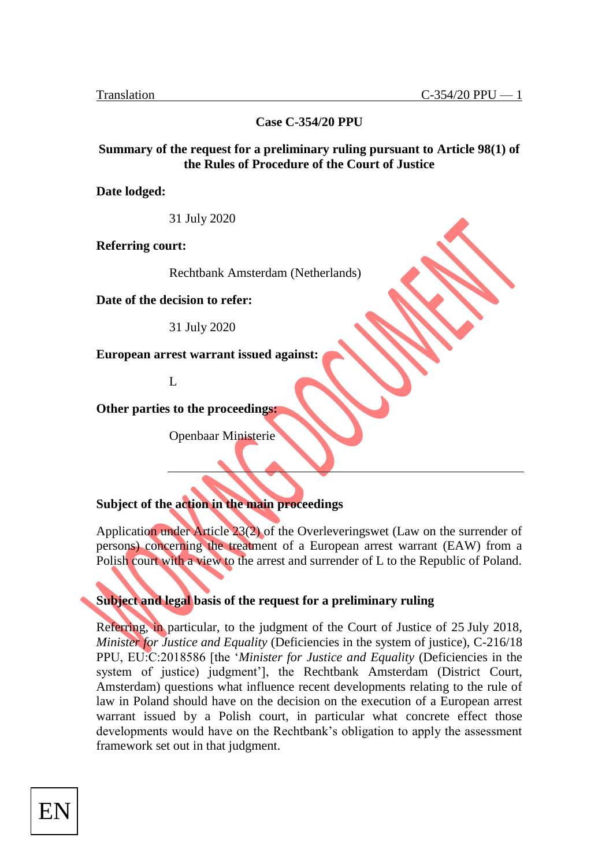**Case C-354/20 PPU**

## **Summary of the request for a preliminary ruling pursuant to Article 98(1) of the Rules of Procedure of the Court of Justice**

**Date lodged:**

31 July 2020

**Referring court:**

Rechtbank Amsterdam (Netherlands)

**Date of the decision to refer:**

31 July 2020

**European arrest warrant issued against:**

 $\mathbf{L}$ 

**Other parties to the proceedings:**

Openbaar Ministerie

# **Subject of the action in the main proceedings**

Application under Article 23(2) of the Overleveringswet (Law on the surrender of persons) concerning the treatment of a European arrest warrant (EAW) from a Polish court with a view to the arrest and surrender of L to the Republic of Poland.

**Subject and legal basis of the request for a preliminary ruling**

Referring, in particular, to the judgment of the Court of Justice of 25 July 2018, *Minister for Justice and Equality* (Deficiencies in the system of justice), C-216/18 PPU, EU:C:2018586 [the '*Minister for Justice and Equality* (Deficiencies in the system of justice) judgment'], the Rechtbank Amsterdam (District Court, Amsterdam) questions what influence recent developments relating to the rule of law in Poland should have on the decision on the execution of a European arrest warrant issued by a Polish court, in particular what concrete effect those developments would have on the Rechtbank's obligation to apply the assessment framework set out in that judgment.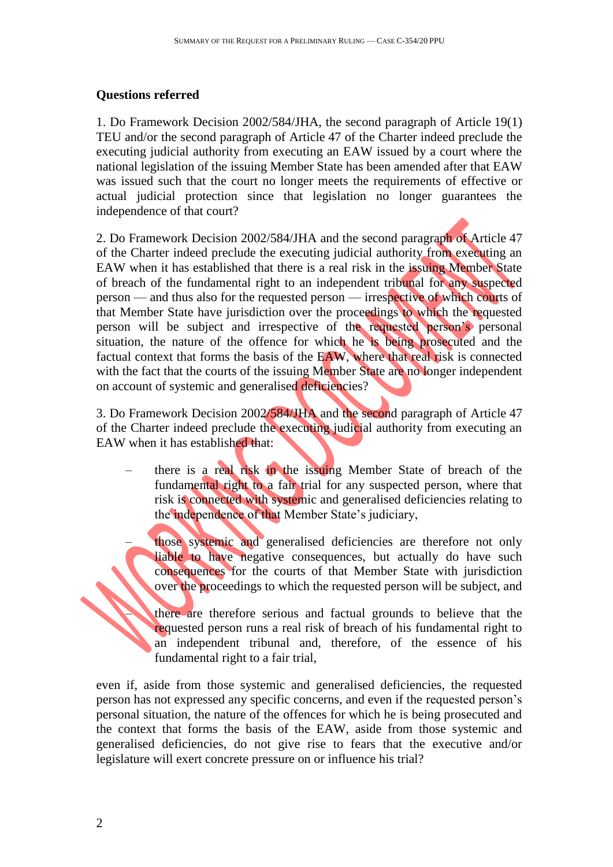# **Questions referred**

1. Do Framework Decision 2002/584/JHA, the second paragraph of Article 19(1) TEU and/or the second paragraph of Article 47 of the Charter indeed preclude the executing judicial authority from executing an EAW issued by a court where the national legislation of the issuing Member State has been amended after that EAW was issued such that the court no longer meets the requirements of effective or actual judicial protection since that legislation no longer guarantees the independence of that court?

2. Do Framework Decision 2002/584/JHA and the second paragraph of Article 47 of the Charter indeed preclude the executing judicial authority from executing an EAW when it has established that there is a real risk in the issuing Member State of breach of the fundamental right to an independent tribunal for any suspected person — and thus also for the requested person — irrespective of which courts of that Member State have jurisdiction over the proceedings to which the requested person will be subject and irrespective of the requested person's personal situation, the nature of the offence for which he is being prosecuted and the factual context that forms the basis of the EAW, where that real risk is connected with the fact that the courts of the issuing Member State are no longer independent on account of systemic and generalised deficiencies?

3. Do Framework Decision 2002/584/JHA and the second paragraph of Article 47 of the Charter indeed preclude the executing judicial authority from executing an EAW when it has established that:

– there is a real risk in the issuing Member State of breach of the fundamental right to a fair trial for any suspected person, where that risk is connected with systemic and generalised deficiencies relating to the independence of that Member State's judiciary,

those systemic and generalised deficiencies are therefore not only liable to have negative consequences, but actually do have such consequences for the courts of that Member State with jurisdiction over the proceedings to which the requested person will be subject, and

there are therefore serious and factual grounds to believe that the requested person runs a real risk of breach of his fundamental right to an independent tribunal and, therefore, of the essence of his fundamental right to a fair trial,

even if, aside from those systemic and generalised deficiencies, the requested person has not expressed any specific concerns, and even if the requested person's personal situation, the nature of the offences for which he is being prosecuted and the context that forms the basis of the EAW, aside from those systemic and generalised deficiencies, do not give rise to fears that the executive and/or legislature will exert concrete pressure on or influence his trial?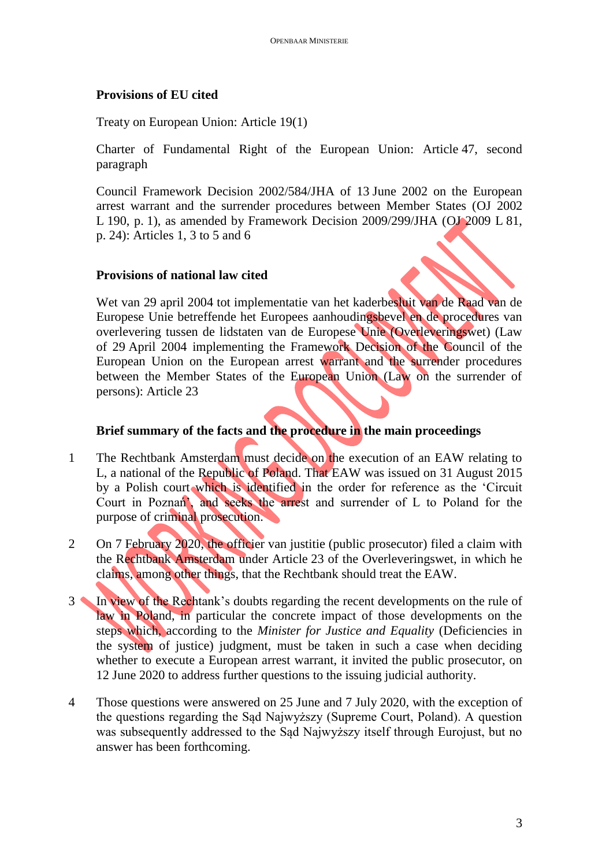## **Provisions of EU cited**

Treaty on European Union: Article 19(1)

Charter of Fundamental Right of the European Union: Article 47, second paragraph

Council Framework Decision 2002/584/JHA of 13 June 2002 on the European arrest warrant and the surrender procedures between Member States (OJ 2002 L 190, p. 1), as amended by Framework Decision 2009/299/JHA (OJ 2009 L 81, p. 24): Articles 1, 3 to 5 and 6

# **Provisions of national law cited**

Wet van 29 april 2004 tot implementatie van het kaderbesluit van de Raad van de Europese Unie betreffende het Europees aanhoudingsbevel en de procedures van overlevering tussen de lidstaten van de Europese Unie (Overleveringswet) (Law of 29 April 2004 implementing the Framework Decision of the Council of the European Union on the European arrest warrant and the surrender procedures between the Member States of the European Union (Law on the surrender of persons): Article 23

# **Brief summary of the facts and the procedure in the main proceedings**

- 1 The Rechtbank Amsterdam must decide on the execution of an EAW relating to L, a national of the Republic of Poland. That EAW was issued on 31 August 2015 by a Polish court which is identified in the order for reference as the 'Circuit Court in Poznań', and seeks the arrest and surrender of L to Poland for the purpose of criminal prosecution.
- 2 On 7 February 2020, the officier van justitie (public prosecutor) filed a claim with the Rechtbank Amsterdam under Article 23 of the Overleveringswet, in which he claims, among other things, that the Rechtbank should treat the EAW.
- 3 In view of the Rechtank's doubts regarding the recent developments on the rule of law in Poland, in particular the concrete impact of those developments on the steps which, according to the *Minister for Justice and Equality* (Deficiencies in the system of justice) judgment, must be taken in such a case when deciding whether to execute a European arrest warrant, it invited the public prosecutor, on 12 June 2020 to address further questions to the issuing judicial authority.
- 4 Those questions were answered on 25 June and 7 July 2020, with the exception of the questions regarding the Sąd Najwyższy (Supreme Court, Poland). A question was subsequently addressed to the Sąd Najwyższy itself through Eurojust, but no answer has been forthcoming.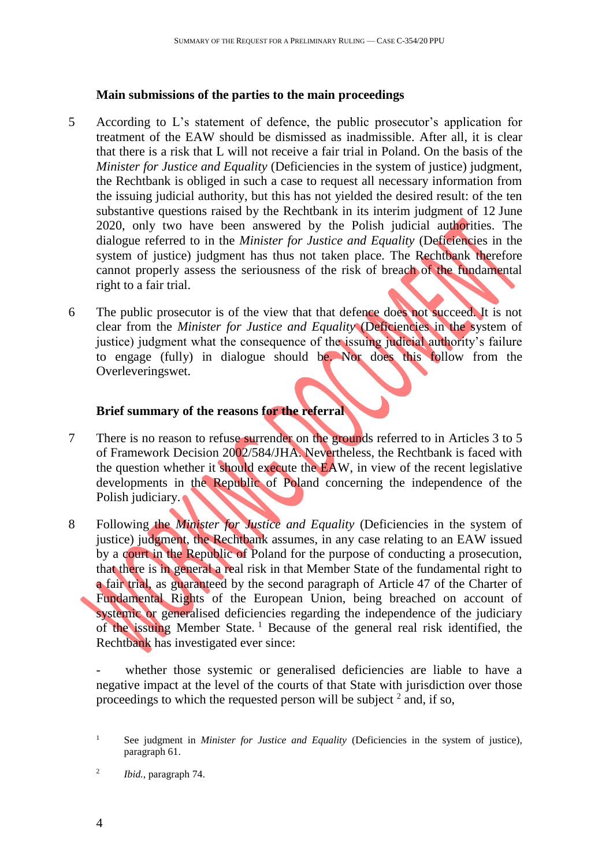#### **Main submissions of the parties to the main proceedings**

- 5 According to L's statement of defence, the public prosecutor's application for treatment of the EAW should be dismissed as inadmissible. After all, it is clear that there is a risk that L will not receive a fair trial in Poland. On the basis of the *Minister for Justice and Equality (Deficiencies in the system of justice) judgment,* the Rechtbank is obliged in such a case to request all necessary information from the issuing judicial authority, but this has not yielded the desired result: of the ten substantive questions raised by the Rechtbank in its interim judgment of 12 June 2020, only two have been answered by the Polish judicial authorities. The dialogue referred to in the *Minister for Justice and Equality* (Deficiencies in the system of justice) judgment has thus not taken place. The Rechtbank therefore cannot properly assess the seriousness of the risk of breach of the fundamental right to a fair trial.
- 6 The public prosecutor is of the view that that defence does not succeed. It is not clear from the *Minister for Justice and Equality* (Deficiencies in the system of justice) judgment what the consequence of the issuing judicial authority's failure to engage (fully) in dialogue should be. Nor does this follow from the Overleveringswet.

## **Brief summary of the reasons for the referral**

- 7 There is no reason to refuse surrender on the grounds referred to in Articles 3 to 5 of Framework Decision 2002/584/JHA. Nevertheless, the Rechtbank is faced with the question whether it should execute the EAW, in view of the recent legislative developments in the Republic of Poland concerning the independence of the Polish judiciary.
- 8 Following the *Minister for Justice and Equality* (Deficiencies in the system of justice) judgment, the Rechtbank assumes, in any case relating to an EAW issued by a court in the Republic of Poland for the purpose of conducting a prosecution, that there is in general a real risk in that Member State of the fundamental right to a fair trial, as guaranteed by the second paragraph of Article 47 of the Charter of Fundamental Rights of the European Union, being breached on account of systemic or generalised deficiencies regarding the independence of the judiciary of the issuing Member State. <sup>1</sup> Because of the general real risk identified, the Rechtbank has investigated ever since:

whether those systemic or generalised deficiencies are liable to have a negative impact at the level of the courts of that State with jurisdiction over those proceedings to which the requested person will be subject  $2$  and, if so,

<sup>1</sup> See judgment in *Minister for Justice and Equality* (Deficiencies in the system of justice), paragraph 61.

<sup>2</sup> *Ibid.*, paragraph 74.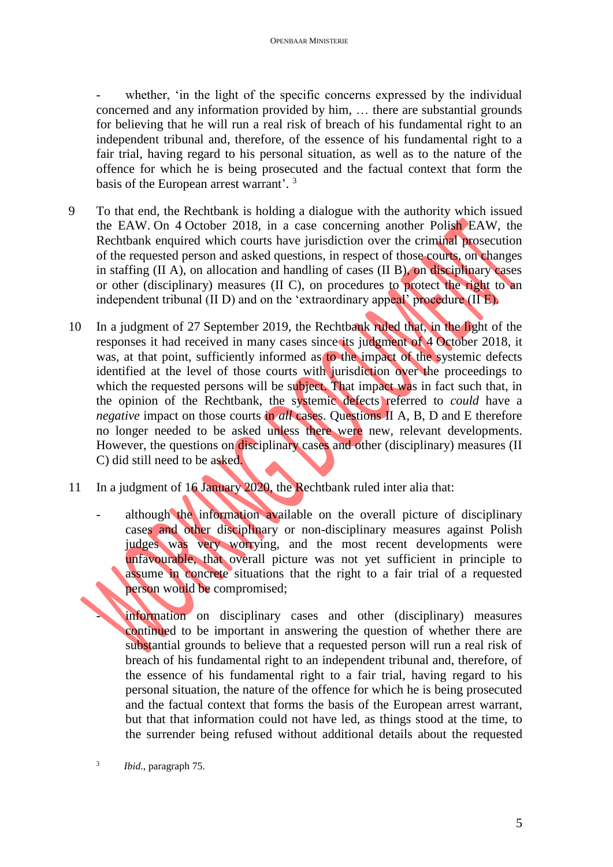whether, 'in the light of the specific concerns expressed by the individual concerned and any information provided by him, … there are substantial grounds for believing that he will run a real risk of breach of his fundamental right to an independent tribunal and, therefore, of the essence of his fundamental right to a fair trial, having regard to his personal situation, as well as to the nature of the offence for which he is being prosecuted and the factual context that form the basis of the European arrest warrant'.<sup>3</sup>

- 9 To that end, the Rechtbank is holding a dialogue with the authority which issued the EAW. On 4 October 2018, in a case concerning another Polish EAW, the Rechtbank enquired which courts have jurisdiction over the criminal prosecution of the requested person and asked questions, in respect of those courts, on changes in staffing (II A), on allocation and handling of cases (II B), on disciplinary cases or other (disciplinary) measures (II C), on procedures to protect the right to an independent tribunal (II D) and on the 'extraordinary appeal' procedure (II E).
- 10 In a judgment of 27 September 2019, the Rechtbank ruled that, in the light of the responses it had received in many cases since its judgment of 4 October 2018, it was, at that point, sufficiently informed as to the impact of the systemic defects identified at the level of those courts with jurisdiction over the proceedings to which the requested persons will be subject. That impact was in fact such that, in the opinion of the Rechtbank, the systemic defects referred to *could* have a *negative* impact on those courts in *all* cases. Questions II A, B, D and E therefore no longer needed to be asked unless there were new, relevant developments. However, the questions on disciplinary cases and other (disciplinary) measures (II C) did still need to be asked.
- 11 In a judgment of 16 January 2020, the Rechtbank ruled inter alia that:
	- although the information available on the overall picture of disciplinary cases and other disciplinary or non-disciplinary measures against Polish judges was very worrying, and the most recent developments were unfavourable, that overall picture was not yet sufficient in principle to assume in concrete situations that the right to a fair trial of a requested person would be compromised;

information on disciplinary cases and other (disciplinary) measures continued to be important in answering the question of whether there are substantial grounds to believe that a requested person will run a real risk of breach of his fundamental right to an independent tribunal and, therefore, of the essence of his fundamental right to a fair trial, having regard to his personal situation, the nature of the offence for which he is being prosecuted and the factual context that forms the basis of the European arrest warrant, but that that information could not have led, as things stood at the time, to the surrender being refused without additional details about the requested

3 *Ibid*., paragraph 75.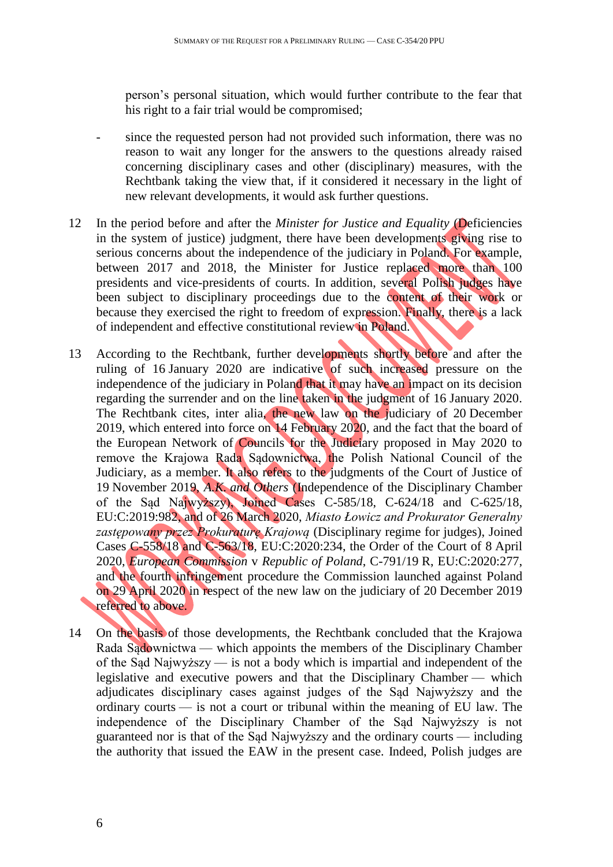person's personal situation, which would further contribute to the fear that his right to a fair trial would be compromised;

- since the requested person had not provided such information, there was no reason to wait any longer for the answers to the questions already raised concerning disciplinary cases and other (disciplinary) measures, with the Rechtbank taking the view that, if it considered it necessary in the light of new relevant developments, it would ask further questions.
- 12 In the period before and after the *Minister for Justice and Equality* (Deficiencies in the system of justice) judgment, there have been developments giving rise to serious concerns about the independence of the judiciary in Poland. For example, between 2017 and 2018, the Minister for Justice replaced more than 100 presidents and vice-presidents of courts. In addition, several Polish judges have been subject to disciplinary proceedings due to the content of their work or because they exercised the right to freedom of expression. Finally, there is a lack of independent and effective constitutional review in Poland.
- 13 According to the Rechtbank, further developments shortly before and after the ruling of 16 January 2020 are indicative of such increased pressure on the independence of the judiciary in Poland that it may have an impact on its decision regarding the surrender and on the line taken in the judgment of 16 January 2020. The Rechtbank cites, inter alia, the new law on the judiciary of 20 December 2019, which entered into force on 14 February 2020, and the fact that the board of the European Network of Councils for the Judiciary proposed in May 2020 to remove the Krajowa Rada Sądownictwa, the Polish National Council of the Judiciary, as a member. It also refers to the judgments of the Court of Justice of 19 November 2019, *A.K. and Others* (Independence of the Disciplinary Chamber of the Sąd Najwyższy), Joined Cases C-585/18, C-624/18 and C-625/18, EU:C:2019:982, and of 26 March 2020, *Miasto Łowicz and Prokurator Generalny zastępowany przez Prokuraturę Krajową* (Disciplinary regime for judges), Joined Cases C-558/18 and C-563/18, EU:C:2020:234, the Order of the Court of 8 April 2020, *European Commission* v *Republic of Poland*, C-791/19 R, EU:C:2020:277, and the fourth infringement procedure the Commission launched against Poland on 29 April 2020 in respect of the new law on the judiciary of 20 December 2019 referred to above.
- 14 On the basis of those developments, the Rechtbank concluded that the Krajowa Rada Sądownictwa — which appoints the members of the Disciplinary Chamber of the Sąd Najwyższy — is not a body which is impartial and independent of the legislative and executive powers and that the Disciplinary Chamber — which adjudicates disciplinary cases against judges of the Sąd Najwyższy and the ordinary courts — is not a court or tribunal within the meaning of EU law. The independence of the Disciplinary Chamber of the Sąd Najwyższy is not guaranteed nor is that of the Sąd Najwyższy and the ordinary courts — including the authority that issued the EAW in the present case. Indeed, Polish judges are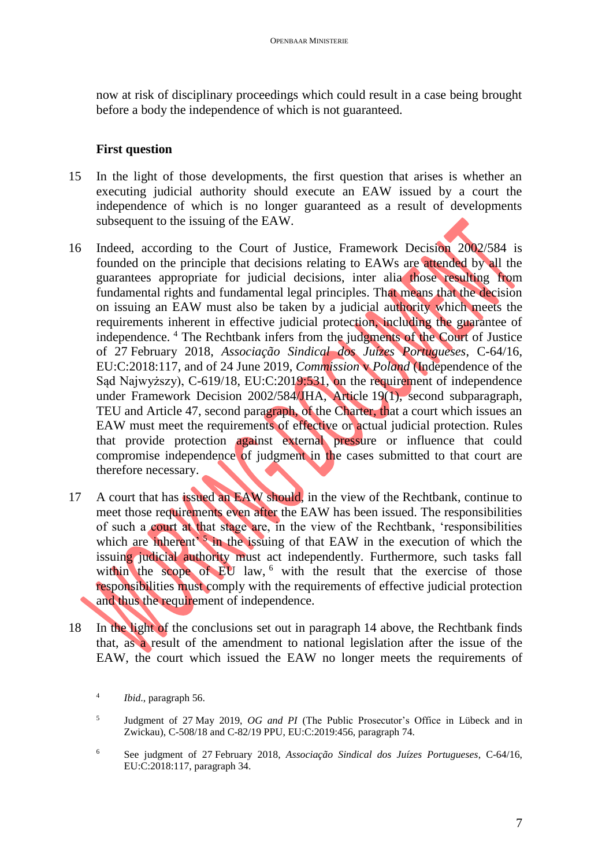now at risk of disciplinary proceedings which could result in a case being brought before a body the independence of which is not guaranteed.

# **First question**

- 15 In the light of those developments, the first question that arises is whether an executing judicial authority should execute an EAW issued by a court the independence of which is no longer guaranteed as a result of developments subsequent to the issuing of the EAW.
- 16 Indeed, according to the Court of Justice, Framework Decision 2002/584 is founded on the principle that decisions relating to EAWs are attended by all the guarantees appropriate for judicial decisions, inter alia those resulting from fundamental rights and fundamental legal principles. That means that the decision on issuing an EAW must also be taken by a judicial authority which meets the requirements inherent in effective judicial protection, including the guarantee of independence. <sup>4</sup> The Rechtbank infers from the judgments of the Court of Justice of 27 February 2018, *Associação Sindical dos Juízes Portugueses*, C-64/16, EU:C:2018:117, and of 24 June 2019, *Commission* v *Poland* (Independence of the Sąd Najwyższy), C-619/18, EU:C:2019:531, on the requirement of independence under Framework Decision 2002/584/JHA, Article 19(1), second subparagraph, TEU and Article 47, second paragraph, of the Charter, that a court which issues an EAW must meet the requirements of effective or actual judicial protection. Rules that provide protection against external pressure or influence that could compromise independence of judgment in the cases submitted to that court are therefore necessary.
- 17 A court that has issued an EAW should, in the view of the Rechtbank, continue to meet those requirements even after the EAW has been issued. The responsibilities of such a court at that stage are, in the view of the Rechtbank, 'responsibilities which are inherent<sup> $5$ </sup> in the issuing of that EAW in the execution of which the issuing judicial authority must act independently. Furthermore, such tasks fall within the scope of EU law, <sup>6</sup> with the result that the exercise of those responsibilities must comply with the requirements of effective judicial protection and thus the requirement of independence.
- 18 In the light of the conclusions set out in paragraph 14 above, the Rechtbank finds that, as a result of the amendment to national legislation after the issue of the EAW, the court which issued the EAW no longer meets the requirements of

<sup>4</sup> *Ibid*., paragraph 56.

<sup>5</sup> Judgment of 27 May 2019, *OG and PI* (The Public Prosecutor's Office in Lübeck and in Zwickau), C-508/18 and C-82/19 PPU, EU:C:2019:456, paragraph 74.

<sup>6</sup> See judgment of 27 February 2018, *Associação Sindical dos Juízes Portugueses*, C-64/16, EU:C:2018:117, paragraph 34.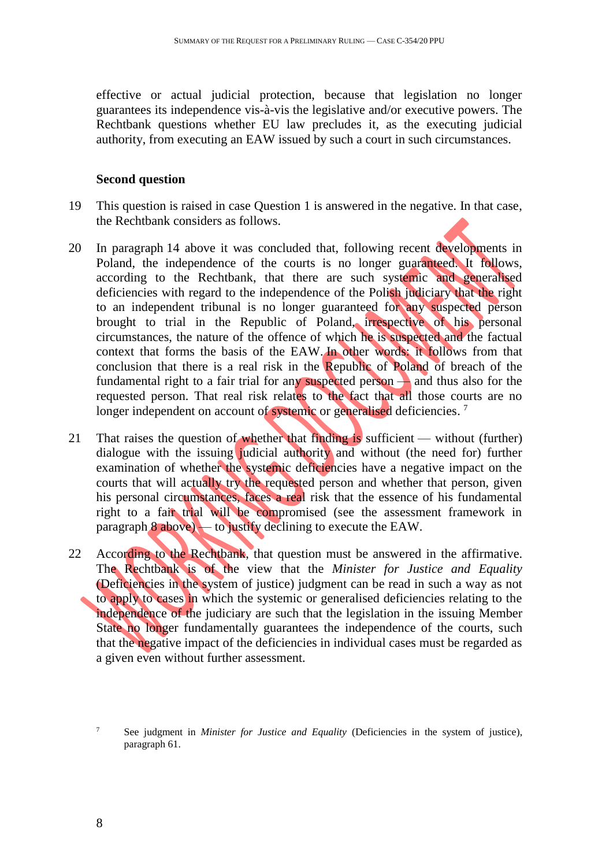effective or actual judicial protection, because that legislation no longer guarantees its independence vis-à-vis the legislative and/or executive powers. The Rechtbank questions whether EU law precludes it, as the executing judicial authority, from executing an EAW issued by such a court in such circumstances.

## **Second question**

- 19 This question is raised in case Question 1 is answered in the negative. In that case, the Rechtbank considers as follows.
- 20 In paragraph 14 above it was concluded that, following recent developments in Poland, the independence of the courts is no longer guaranteed. It follows, according to the Rechtbank, that there are such systemic and generalised deficiencies with regard to the independence of the Polish judiciary that the right to an independent tribunal is no longer guaranteed for any suspected person brought to trial in the Republic of Poland, irrespective of his personal circumstances, the nature of the offence of which he is suspected and the factual context that forms the basis of the EAW. In other words: it follows from that conclusion that there is a real risk in the Republic of Poland of breach of the fundamental right to a fair trial for any suspected person — and thus also for the requested person. That real risk relates to the fact that all those courts are no longer independent on account of systemic or generalised deficiencies.<sup>7</sup>
- 21 That raises the question of whether that finding is sufficient without (further) dialogue with the issuing judicial authority and without (the need for) further examination of whether the systemic deficiencies have a negative impact on the courts that will actually try the requested person and whether that person, given his personal circumstances, faces a real risk that the essence of his fundamental right to a fair trial will be compromised (see the assessment framework in paragraph  $8$  above) — to justify declining to execute the EAW.
- 22 According to the Rechtbank, that question must be answered in the affirmative. The Rechtbank is of the view that the *Minister for Justice and Equality* (Deficiencies in the system of justice) judgment can be read in such a way as not to apply to cases in which the systemic or generalised deficiencies relating to the independence of the judiciary are such that the legislation in the issuing Member State no longer fundamentally guarantees the independence of the courts, such that the negative impact of the deficiencies in individual cases must be regarded as a given even without further assessment.

<sup>7</sup> See judgment in *Minister for Justice and Equality* (Deficiencies in the system of justice), paragraph 61.